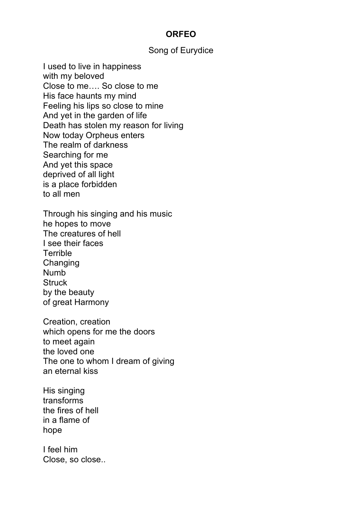## **ORFEO**

## Song of Eurydice

I used to live in happiness with my beloved Close to me…. So close to me His face haunts my mind Feeling his lips so close to mine And yet in the garden of life Death has stolen my reason for living Now today Orpheus enters The realm of darkness Searching for me And yet this space deprived of all light is a place forbidden to all men

Through his singing and his music he hopes to move The creatures of hell I see their faces **Terrible Changing** Numb **Struck** by the beauty of great Harmony

Creation, creation which opens for me the doors to meet again the loved one The one to whom I dream of giving an eternal kiss

His singing transforms the fires of hell in a flame of hope

I feel him Close, so close..